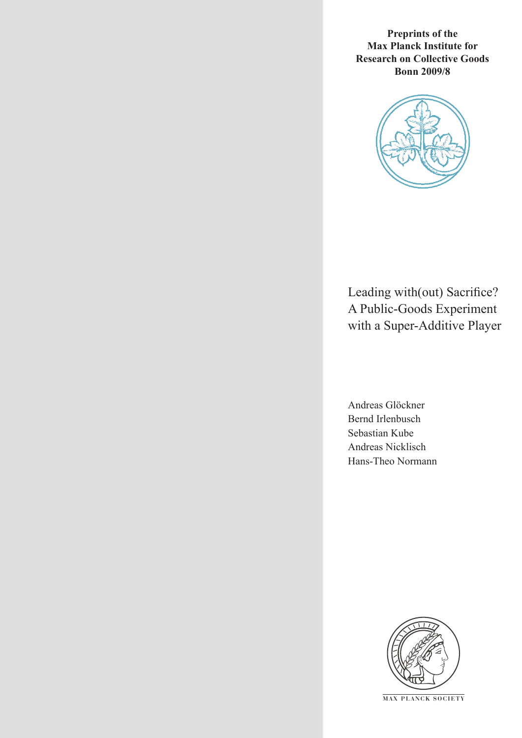**Preprints of the Max Planck Institute for Research on Collective Goods Bonn 2009/8**



Leading with(out) Sacrifice? A Public-Goods Experiment with a Super-Additive Player

Andreas Glöckner Bernd Irlenbusch Sebastian Kube Andreas Nicklisch Hans-Theo Normann



**M AX P L A N C K S O C I E T Y**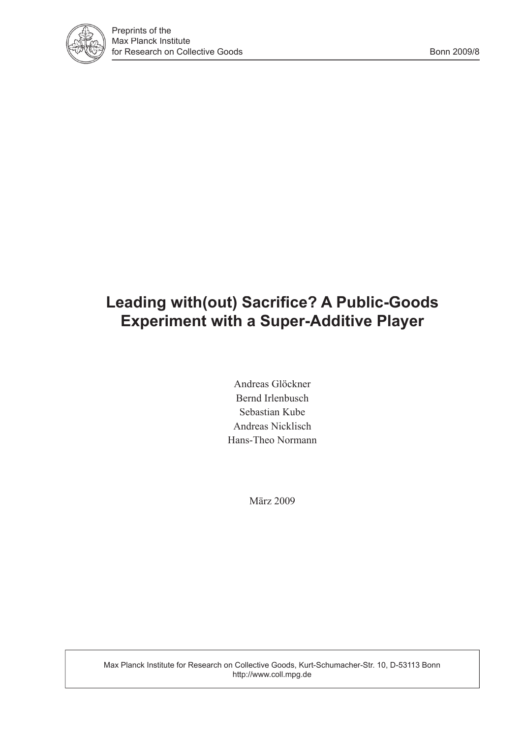

# **Leading with(out) Sacrifice? A Public-Goods Experiment with a Super-Additive Player**

Andreas Glöckner Bernd Irlenbusch Sebastian Kube Andreas Nicklisch Hans-Theo Normann

März 2009

Max Planck Institute for Research on Collective Goods, Kurt-Schumacher-Str. 10, D-53113 Bonn http://www.coll.mpg.de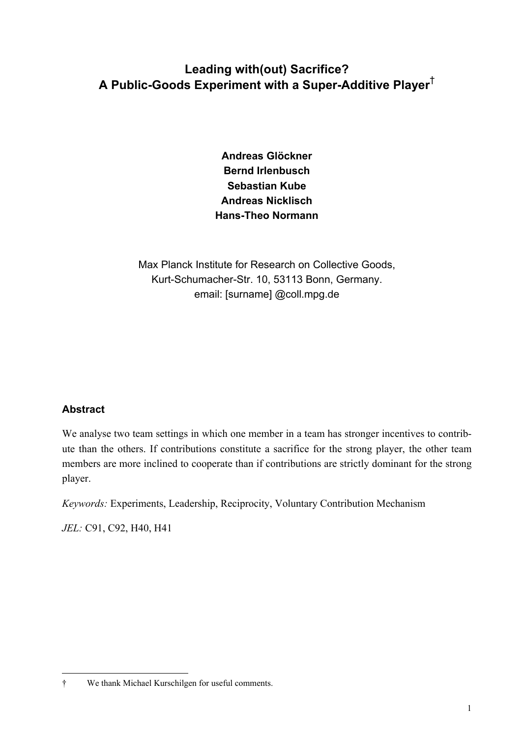# **Leading with(out) Sacrifice? A Public-Goods Experiment with a Super-Additive Player**†

**Andreas Glöckner Bernd Irlenbusch Sebastian Kube Andreas Nicklisch Hans-Theo Normann** 

Max Planck Institute for Research on Collective Goods, Kurt-Schumacher-Str. 10, 53113 Bonn, Germany. email: [surname] @coll.mpg.de

# **Abstract**

j

We analyse two team settings in which one member in a team has stronger incentives to contribute than the others. If contributions constitute a sacrifice for the strong player, the other team members are more inclined to cooperate than if contributions are strictly dominant for the strong player.

*Keywords:* Experiments, Leadership, Reciprocity, Voluntary Contribution Mechanism

*JEL:* C91, C92, H40, H41

<sup>†</sup> We thank Michael Kurschilgen for useful comments.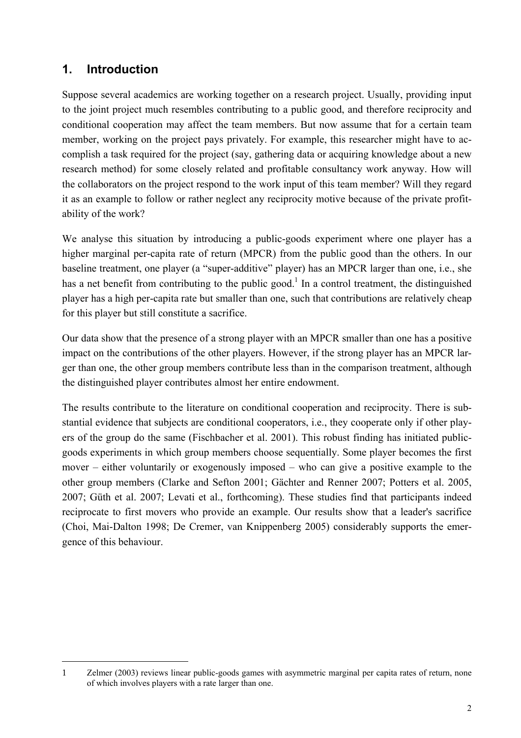# **1. Introduction**

j

Suppose several academics are working together on a research project. Usually, providing input to the joint project much resembles contributing to a public good, and therefore reciprocity and conditional cooperation may affect the team members. But now assume that for a certain team member, working on the project pays privately. For example, this researcher might have to accomplish a task required for the project (say, gathering data or acquiring knowledge about a new research method) for some closely related and profitable consultancy work anyway. How will the collaborators on the project respond to the work input of this team member? Will they regard it as an example to follow or rather neglect any reciprocity motive because of the private profitability of the work?

We analyse this situation by introducing a public-goods experiment where one player has a higher marginal per-capita rate of return (MPCR) from the public good than the others. In our baseline treatment, one player (a "super-additive" player) has an MPCR larger than one, i.e., she has a net benefit from contributing to the public good.<sup>1</sup> In a control treatment, the distinguished player has a high per-capita rate but smaller than one, such that contributions are relatively cheap for this player but still constitute a sacrifice.

Our data show that the presence of a strong player with an MPCR smaller than one has a positive impact on the contributions of the other players. However, if the strong player has an MPCR larger than one, the other group members contribute less than in the comparison treatment, although the distinguished player contributes almost her entire endowment.

The results contribute to the literature on conditional cooperation and reciprocity. There is substantial evidence that subjects are conditional cooperators, i.e., they cooperate only if other players of the group do the same (Fischbacher et al. 2001). This robust finding has initiated publicgoods experiments in which group members choose sequentially. Some player becomes the first mover – either voluntarily or exogenously imposed – who can give a positive example to the other group members (Clarke and Sefton 2001; Gächter and Renner 2007; Potters et al. 2005, 2007; Güth et al. 2007; Levati et al., forthcoming). These studies find that participants indeed reciprocate to first movers who provide an example. Our results show that a leader's sacrifice (Choi, Mai-Dalton 1998; De Cremer, van Knippenberg 2005) considerably supports the emergence of this behaviour.

<sup>1</sup> Zelmer (2003) reviews linear public-goods games with asymmetric marginal per capita rates of return, none of which involves players with a rate larger than one.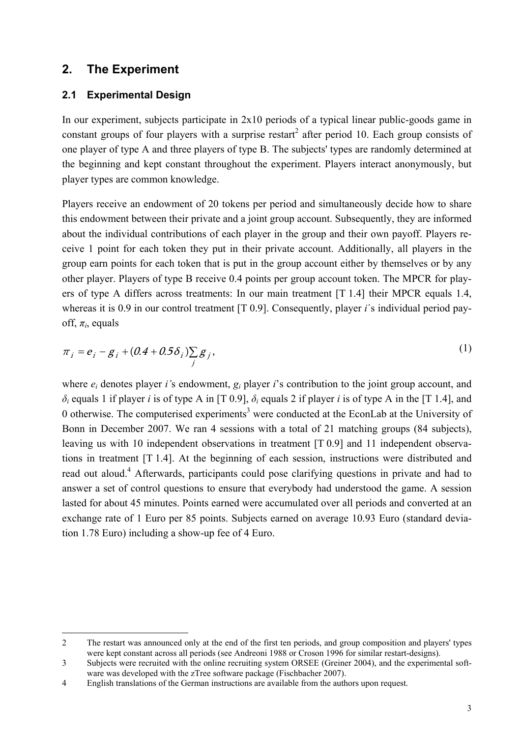# **2. The Experiment**

 $\overline{a}$ 

# **2.1 Experimental Design**

In our experiment, subjects participate in 2x10 periods of a typical linear public-goods game in constant groups of four players with a surprise restart<sup>2</sup> after period 10. Each group consists of one player of type A and three players of type B. The subjects' types are randomly determined at the beginning and kept constant throughout the experiment. Players interact anonymously, but player types are common knowledge.

Players receive an endowment of 20 tokens per period and simultaneously decide how to share this endowment between their private and a joint group account. Subsequently, they are informed about the individual contributions of each player in the group and their own payoff. Players receive 1 point for each token they put in their private account. Additionally, all players in the group earn points for each token that is put in the group account either by themselves or by any other player. Players of type B receive 0.4 points per group account token. The MPCR for players of type A differs across treatments: In our main treatment [T 1.4] their MPCR equals 1.4, whereas it is 0.9 in our control treatment [T 0.9]. Consequently, player *i*'s individual period payoff,  $\pi$ <sup>*i*</sup>, equals

$$
\pi_{i} = e_{i} - g_{i} + (0.4 + 0.5\delta_{i})\sum_{j} g_{j},
$$
\n(1)

where *ei* denotes player *i'*s endowment, *gi* player *i*'s contribution to the joint group account, and *δ<sup>i</sup>* equals 1 if player *i* is of type A in [T 0.9], *δ<sup>i</sup>* equals 2 if player *i* is of type A in the [T 1.4], and 0 otherwise. The computerised experiments<sup>3</sup> were conducted at the EconLab at the University of Bonn in December 2007. We ran 4 sessions with a total of 21 matching groups (84 subjects), leaving us with 10 independent observations in treatment [T 0.9] and 11 independent observations in treatment [T 1.4]. At the beginning of each session, instructions were distributed and read out aloud.<sup>4</sup> Afterwards, participants could pose clarifying questions in private and had to answer a set of control questions to ensure that everybody had understood the game. A session lasted for about 45 minutes. Points earned were accumulated over all periods and converted at an exchange rate of 1 Euro per 85 points. Subjects earned on average 10.93 Euro (standard deviation 1.78 Euro) including a show-up fee of 4 Euro.

<sup>2</sup> The restart was announced only at the end of the first ten periods, and group composition and players' types were kept constant across all periods (see Andreoni 1988 or Croson 1996 for similar restart-designs).

<sup>3</sup> Subjects were recruited with the online recruiting system ORSEE (Greiner 2004), and the experimental software was developed with the zTree software package (Fischbacher 2007).

<sup>4</sup> English translations of the German instructions are available from the authors upon request.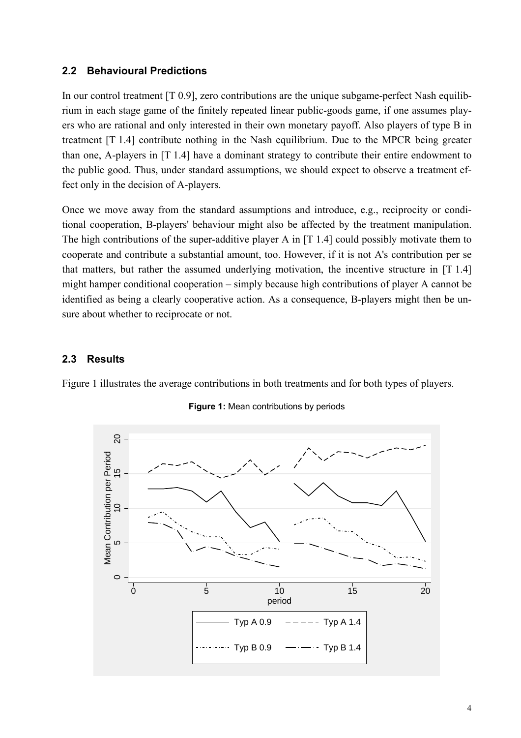### **2.2 Behavioural Predictions**

In our control treatment [T 0.9], zero contributions are the unique subgame-perfect Nash equilibrium in each stage game of the finitely repeated linear public-goods game, if one assumes players who are rational and only interested in their own monetary payoff. Also players of type B in treatment [T 1.4] contribute nothing in the Nash equilibrium. Due to the MPCR being greater than one, A-players in [T 1.4] have a dominant strategy to contribute their entire endowment to the public good. Thus, under standard assumptions, we should expect to observe a treatment effect only in the decision of A-players.

Once we move away from the standard assumptions and introduce, e.g., reciprocity or conditional cooperation, B-players' behaviour might also be affected by the treatment manipulation. The high contributions of the super-additive player A in [T 1.4] could possibly motivate them to cooperate and contribute a substantial amount, too. However, if it is not A's contribution per se that matters, but rather the assumed underlying motivation, the incentive structure in [T 1.4] might hamper conditional cooperation – simply because high contributions of player A cannot be identified as being a clearly cooperative action. As a consequence, B-players might then be unsure about whether to reciprocate or not.

### **2.3 Results**

Figure 1 illustrates the average contributions in both treatments and for both types of players.



**Figure 1:** Mean contributions by periods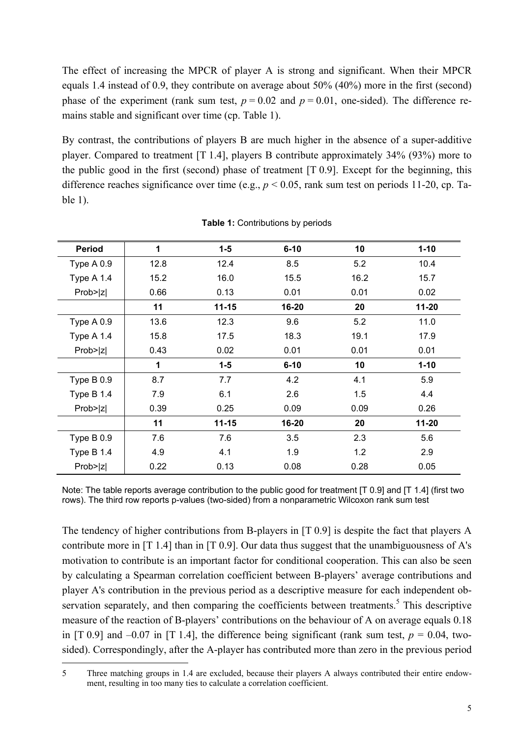The effect of increasing the MPCR of player A is strong and significant. When their MPCR equals 1.4 instead of 0.9, they contribute on average about 50% (40%) more in the first (second) phase of the experiment (rank sum test,  $p = 0.02$  and  $p = 0.01$ , one-sided). The difference remains stable and significant over time (cp. Table 1).

By contrast, the contributions of players B are much higher in the absence of a super-additive player. Compared to treatment [T 1.4], players B contribute approximately 34% (93%) more to the public good in the first (second) phase of treatment [T 0.9]. Except for the beginning, this difference reaches significance over time (e.g., *p* < 0.05, rank sum test on periods 11-20, cp. Table 1).

| <b>Period</b> | 1            | $1 - 5$   | 10<br>$6 - 10$ |      | $1 - 10$  |  |
|---------------|--------------|-----------|----------------|------|-----------|--|
| Type A 0.9    | 12.8         | 12.4      | 8.5            | 5.2  | 10.4      |  |
| Type $A$ 1.4  | 15.2         | 16.0      | 15.5           | 16.2 | 15.7      |  |
| Prob> z       | 0.66         | 0.13      | 0.01           | 0.01 | 0.02      |  |
|               | 11           | $11 - 15$ | 16-20          | 20   | $11 - 20$ |  |
| Type $A$ 0.9  | 13.6         | 12.3      | 9.6            | 5.2  | 11.0      |  |
| Type $A$ 1.4  | 15.8         | 17.5      | 18.3           | 19.1 | 17.9      |  |
| Prob> z       | 0.43         | 0.02      | 0.01           | 0.01 | 0.01      |  |
|               | $\mathbf{1}$ | $1-5$     | $6 - 10$       | 10   | $1 - 10$  |  |
| Type B 0.9    | 8.7          | 7.7       | 4.2            | 4.1  | 5.9       |  |
| Type $B$ 1.4  | 7.9          | 6.1       | 2.6            | 1.5  | 4.4       |  |
| Prob> z       | 0.39         | 0.25      | 0.09           | 0.09 | 0.26      |  |
|               | 11           | $11 - 15$ | 16-20          | 20   | $11 - 20$ |  |
| Type $B$ 0.9  | 7.6          | 7.6       | 3.5            | 2.3  | 5.6       |  |
| Type $B$ 1.4  | 4.9          | 4.1       | 1.9            | 1.2  | 2.9       |  |
| Prob> z       | 0.22         | 0.13      | 0.08           | 0.28 | 0.05      |  |

**Table 1:** Contributions by periods

Note: The table reports average contribution to the public good for treatment [T 0.9] and [T 1.4] (first two rows). The third row reports p-values (two-sided) from a nonparametric Wilcoxon rank sum test

The tendency of higher contributions from B-players in [T 0.9] is despite the fact that players A contribute more in [T 1.4] than in [T 0.9]. Our data thus suggest that the unambiguousness of A's motivation to contribute is an important factor for conditional cooperation. This can also be seen by calculating a Spearman correlation coefficient between B-players' average contributions and player A's contribution in the previous period as a descriptive measure for each independent observation separately, and then comparing the coefficients between treatments.<sup>5</sup> This descriptive measure of the reaction of B-players' contributions on the behaviour of A on average equals 0.18 in [T 0.9] and  $-0.07$  in [T 1.4], the difference being significant (rank sum test,  $p = 0.04$ , twosided). Correspondingly, after the A-player has contributed more than zero in the previous period

 $\overline{a}$ 

<sup>5</sup> Three matching groups in 1.4 are excluded, because their players A always contributed their entire endowment, resulting in too many ties to calculate a correlation coefficient.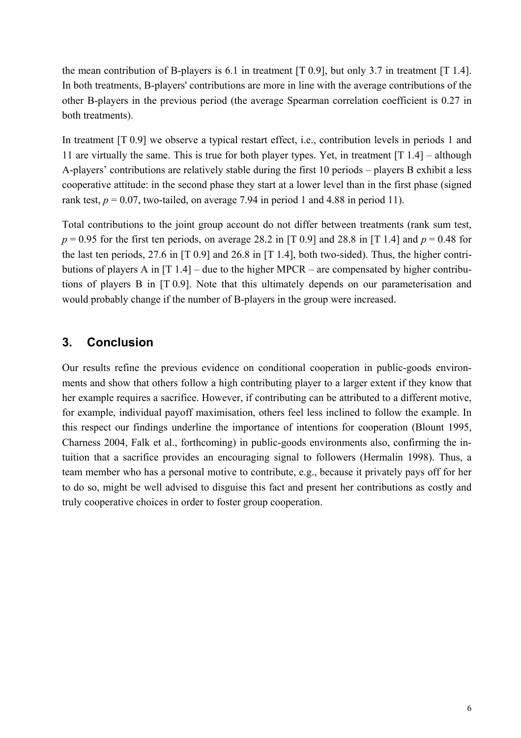the mean contribution of B-players is 6.1 in treatment [T 0.9], but only 3.7 in treatment [T 1.4]. In both treatments, B-players' contributions are more in line with the average contributions of the other B-players in the previous period (the average Spearman correlation coefficient is 0.27 in both treatments).

In treatment [T 0.9] we observe a typical restart effect, i.e., contribution levels in periods 1 and 11 are virtually the same. This is true for both player types. Yet, in treatment [T 1.4] – although A-players' contributions are relatively stable during the first 10 periods – players B exhibit a less cooperative attitude: in the second phase they start at a lower level than in the first phase (signed rank test,  $p = 0.07$ , two-tailed, on average 7.94 in period 1 and 4.88 in period 11).

Total contributions to the joint group account do not differ between treatments (rank sum test,  $p = 0.95$  for the first ten periods, on average 28.2 in [T 0.9] and 28.8 in [T 1.4] and  $p = 0.48$  for the last ten periods, 27.6 in [T 0.9] and 26.8 in [T 1.4], both two-sided). Thus, the higher contributions of players A in [T 1.4] – due to the higher MPCR – are compensated by higher contributions of players B in [T 0.9]. Note that this ultimately depends on our parameterisation and would probably change if the number of B-players in the group were increased.

# **3. Conclusion**

Our results refine the previous evidence on conditional cooperation in public-goods environments and show that others follow a high contributing player to a larger extent if they know that her example requires a sacrifice. However, if contributing can be attributed to a different motive, for example, individual payoff maximisation, others feel less inclined to follow the example. In this respect our findings underline the importance of intentions for cooperation (Blount 1995, Charness 2004, Falk et al., forthcoming) in public-goods environments also, confirming the intuition that a sacrifice provides an encouraging signal to followers (Hermalin 1998). Thus, a team member who has a personal motive to contribute, e.g., because it privately pays off for her to do so, might be well advised to disguise this fact and present her contributions as costly and truly cooperative choices in order to foster group cooperation.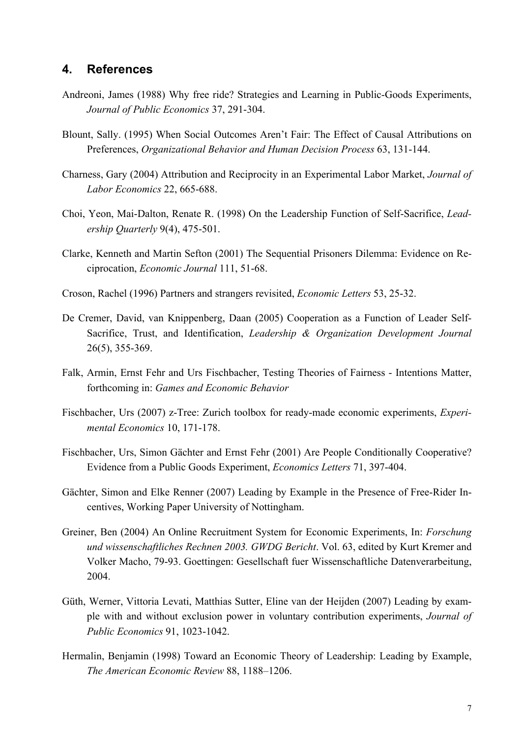# **4. References**

- Andreoni, James (1988) Why free ride? Strategies and Learning in Public-Goods Experiments, *Journal of Public Economics* 37, 291-304.
- Blount, Sally. (1995) When Social Outcomes Aren't Fair: The Effect of Causal Attributions on Preferences, *Organizational Behavior and Human Decision Process* 63, 131-144.
- Charness, Gary (2004) Attribution and Reciprocity in an Experimental Labor Market, *Journal of Labor Economics* 22, 665-688.
- Choi, Yeon, Mai-Dalton, Renate R. (1998) On the Leadership Function of Self-Sacrifice, *Leadership Quarterly* 9(4), 475-501.
- Clarke, Kenneth and Martin Sefton (2001) The Sequential Prisoners Dilemma: Evidence on Reciprocation, *Economic Journal* 111, 51-68.
- Croson, Rachel (1996) Partners and strangers revisited, *Economic Letters* 53, 25-32.
- De Cremer, David, van Knippenberg, Daan (2005) Cooperation as a Function of Leader Self-Sacrifice, Trust, and Identification, *Leadership & Organization Development Journal* 26(5), 355-369.
- Falk, Armin, Ernst Fehr and Urs Fischbacher, Testing Theories of Fairness Intentions Matter, forthcoming in: *Games and Economic Behavior*
- Fischbacher, Urs (2007) z-Tree: Zurich toolbox for ready-made economic experiments, *Experimental Economics* 10, 171-178.
- Fischbacher, Urs, Simon Gächter and Ernst Fehr (2001) Are People Conditionally Cooperative? Evidence from a Public Goods Experiment, *Economics Letters* 71, 397-404.
- Gächter, Simon and Elke Renner (2007) Leading by Example in the Presence of Free-Rider Incentives, Working Paper University of Nottingham.
- Greiner, Ben (2004) An Online Recruitment System for Economic Experiments, In: *Forschung und wissenschaftliches Rechnen 2003. GWDG Bericht*. Vol. 63, edited by Kurt Kremer and Volker Macho, 79-93. Goettingen: Gesellschaft fuer Wissenschaftliche Datenverarbeitung, 2004.
- Güth, Werner, Vittoria Levati, Matthias Sutter, Eline van der Heijden (2007) Leading by example with and without exclusion power in voluntary contribution experiments, *Journal of Public Economics* 91, 1023-1042.
- Hermalin, Benjamin (1998) Toward an Economic Theory of Leadership: Leading by Example, *The American Economic Review* 88, 1188–1206.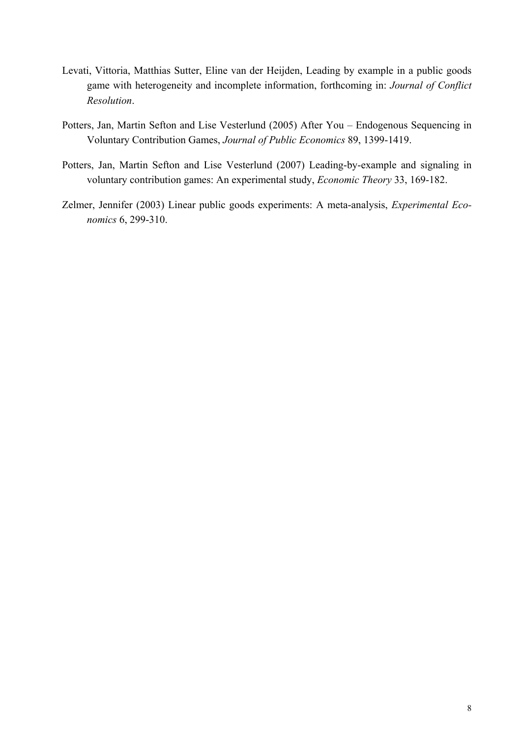- Levati, Vittoria, Matthias Sutter, Eline van der Heijden, Leading by example in a public goods game with heterogeneity and incomplete information, forthcoming in: *Journal of Conflict Resolution*.
- Potters, Jan, Martin Sefton and Lise Vesterlund (2005) After You Endogenous Sequencing in Voluntary Contribution Games, *Journal of Public Economics* 89, 1399-1419.
- Potters, Jan, Martin Sefton and Lise Vesterlund (2007) Leading-by-example and signaling in voluntary contribution games: An experimental study, *Economic Theory* 33, 169-182.
- Zelmer, Jennifer (2003) Linear public goods experiments: A meta-analysis, *Experimental Economics* 6, 299-310.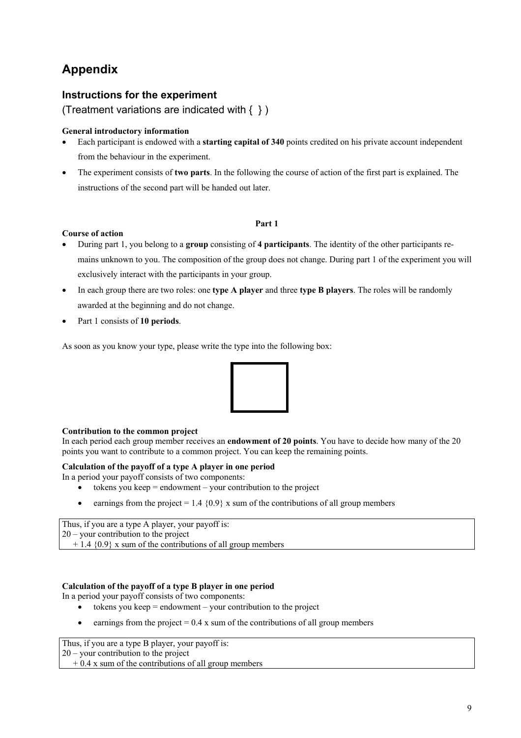# **Appendix**

### **Instructions for the experiment**

(Treatment variations are indicated with  $\{ \}$ )

#### **General introductory information**

- Each participant is endowed with a **starting capital of 340** points credited on his private account independent from the behaviour in the experiment.
- The experiment consists of **two parts**. In the following the course of action of the first part is explained. The instructions of the second part will be handed out later.

#### **Part 1**

#### **Course of action**

- During part 1, you belong to a **group** consisting of **4 participants**. The identity of the other participants remains unknown to you. The composition of the group does not change. During part 1 of the experiment you will exclusively interact with the participants in your group.
- In each group there are two roles: one **type A player** and three **type B players**. The roles will be randomly awarded at the beginning and do not change.
- Part 1 consists of **10 periods**.

As soon as you know your type, please write the type into the following box:



#### **Contribution to the common project**

In each period each group member receives an **endowment of 20 points**. You have to decide how many of the 20 points you want to contribute to a common project. You can keep the remaining points.

#### **Calculation of the payoff of a type A player in one period**

In a period your payoff consists of two components:

- $\bullet$  tokens you keep = endowment your contribution to the project
- earnings from the project =  $1.4 \{0.9\}$  x sum of the contributions of all group members

Thus, if you are a type A player, your payoff is: 20 – your contribution to the project  $+ 1.4$  {0.9} x sum of the contributions of all group members

#### **Calculation of the payoff of a type B player in one period**

In a period your payoff consists of two components:

- $\bullet$  tokens you keep = endowment your contribution to the project
- earnings from the project  $= 0.4$  x sum of the contributions of all group members

Thus, if you are a type B player, your payoff is:

20 – your contribution to the project

 $+ 0.4$  x sum of the contributions of all group members